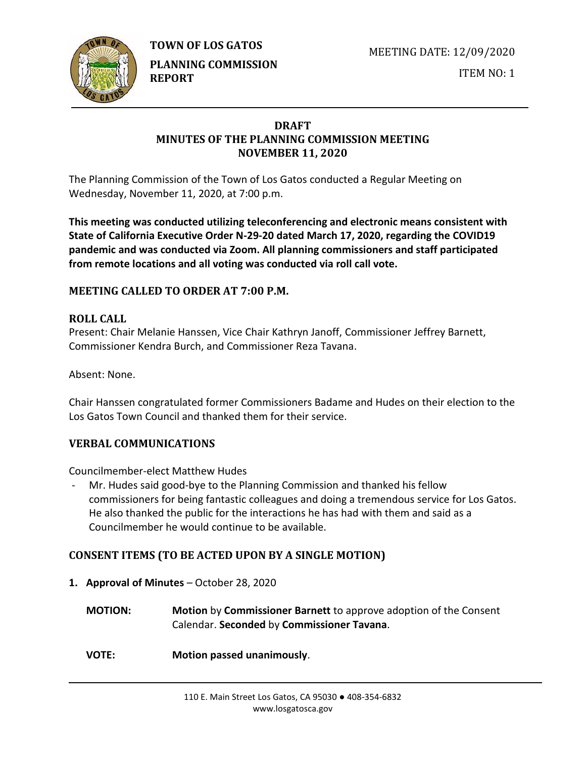

MEETING DATE: 12/09/2020



**PLANNING COMMISSION REPORT**

ITEM NO: 1

### **DRAFT MINUTES OF THE PLANNING COMMISSION MEETING NOVEMBER 11, 2020**

The Planning Commission of the Town of Los Gatos conducted a Regular Meeting on Wednesday, November 11, 2020, at 7:00 p.m.

**This meeting was conducted utilizing teleconferencing and electronic means consistent with State of California Executive Order N-29-20 dated March 17, 2020, regarding the COVID19 pandemic and was conducted via Zoom. All planning commissioners and staff participated from remote locations and all voting was conducted via roll call vote.**

# **MEETING CALLED TO ORDER AT 7:00 P.M.**

# **ROLL CALL**

Present: Chair Melanie Hanssen, Vice Chair Kathryn Janoff, Commissioner Jeffrey Barnett, Commissioner Kendra Burch, and Commissioner Reza Tavana.

Absent: None.

Chair Hanssen congratulated former Commissioners Badame and Hudes on their election to the Los Gatos Town Council and thanked them for their service.

# **VERBAL COMMUNICATIONS**

Councilmember-elect Matthew Hudes

Mr. Hudes said good-bye to the Planning Commission and thanked his fellow commissioners for being fantastic colleagues and doing a tremendous service for Los Gatos. He also thanked the public for the interactions he has had with them and said as a Councilmember he would continue to be available.

# **CONSENT ITEMS (TO BE ACTED UPON BY A SINGLE MOTION)**

- **1. Approval of Minutes** October 28, 2020
	- **MOTION: Motion** by **Commissioner Barnett** to approve adoption of the Consent Calendar. **Seconded** by **Commissioner Tavana**.
	- **VOTE: Motion passed unanimously**.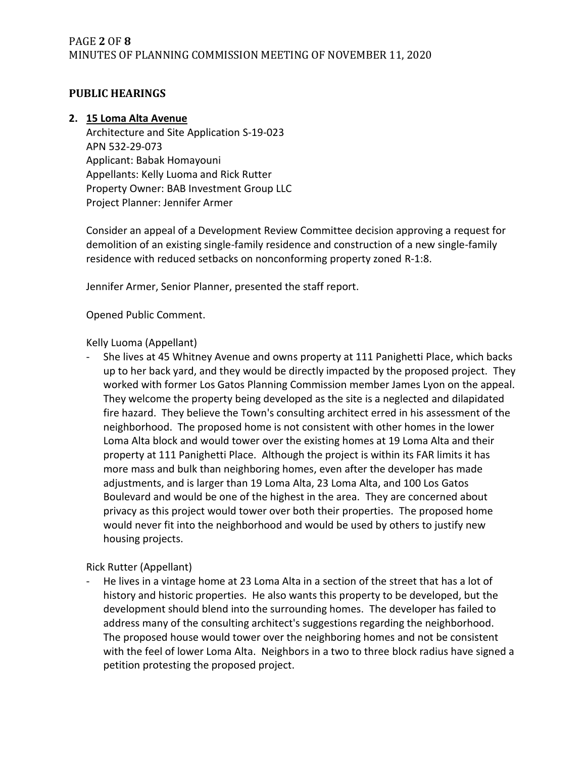# PAGE **2** OF **8** MINUTES OF PLANNING COMMISSION MEETING OF NOVEMBER 11, 2020

#### **PUBLIC HEARINGS**

#### **2. 15 Loma Alta Avenue**

Architecture and Site Application S-19-023 APN 532-29-073 Applicant: Babak Homayouni Appellants: Kelly Luoma and Rick Rutter Property Owner: BAB Investment Group LLC Project Planner: Jennifer Armer

Consider an appeal of a Development Review Committee decision approving a request for demolition of an existing single-family residence and construction of a new single-family residence with reduced setbacks on nonconforming property zoned R-1:8.

Jennifer Armer, Senior Planner, presented the staff report.

Opened Public Comment.

Kelly Luoma (Appellant)

She lives at 45 Whitney Avenue and owns property at 111 Panighetti Place, which backs up to her back yard, and they would be directly impacted by the proposed project. They worked with former Los Gatos Planning Commission member James Lyon on the appeal. They welcome the property being developed as the site is a neglected and dilapidated fire hazard. They believe the Town's consulting architect erred in his assessment of the neighborhood. The proposed home is not consistent with other homes in the lower Loma Alta block and would tower over the existing homes at 19 Loma Alta and their property at 111 Panighetti Place. Although the project is within its FAR limits it has more mass and bulk than neighboring homes, even after the developer has made adjustments, and is larger than 19 Loma Alta, 23 Loma Alta, and 100 Los Gatos Boulevard and would be one of the highest in the area. They are concerned about privacy as this project would tower over both their properties. The proposed home would never fit into the neighborhood and would be used by others to justify new housing projects.

Rick Rutter (Appellant)

He lives in a vintage home at 23 Loma Alta in a section of the street that has a lot of history and historic properties. He also wants this property to be developed, but the development should blend into the surrounding homes. The developer has failed to address many of the consulting architect's suggestions regarding the neighborhood. The proposed house would tower over the neighboring homes and not be consistent with the feel of lower Loma Alta. Neighbors in a two to three block radius have signed a petition protesting the proposed project.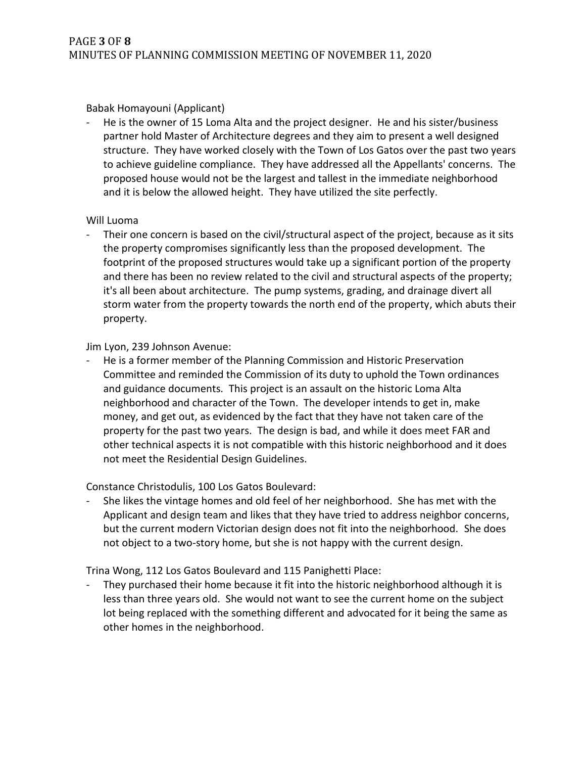Babak Homayouni (Applicant)

He is the owner of 15 Loma Alta and the project designer. He and his sister/business partner hold Master of Architecture degrees and they aim to present a well designed structure. They have worked closely with the Town of Los Gatos over the past two years to achieve guideline compliance. They have addressed all the Appellants' concerns. The proposed house would not be the largest and tallest in the immediate neighborhood and it is below the allowed height. They have utilized the site perfectly.

#### Will Luoma

- Their one concern is based on the civil/structural aspect of the project, because as it sits the property compromises significantly less than the proposed development. The footprint of the proposed structures would take up a significant portion of the property and there has been no review related to the civil and structural aspects of the property; it's all been about architecture. The pump systems, grading, and drainage divert all storm water from the property towards the north end of the property, which abuts their property.

#### Jim Lyon, 239 Johnson Avenue:

- He is a former member of the Planning Commission and Historic Preservation Committee and reminded the Commission of its duty to uphold the Town ordinances and guidance documents. This project is an assault on the historic Loma Alta neighborhood and character of the Town. The developer intends to get in, make money, and get out, as evidenced by the fact that they have not taken care of the property for the past two years. The design is bad, and while it does meet FAR and other technical aspects it is not compatible with this historic neighborhood and it does not meet the Residential Design Guidelines.

Constance Christodulis, 100 Los Gatos Boulevard:

- She likes the vintage homes and old feel of her neighborhood. She has met with the Applicant and design team and likes that they have tried to address neighbor concerns, but the current modern Victorian design does not fit into the neighborhood. She does not object to a two-story home, but she is not happy with the current design.

Trina Wong, 112 Los Gatos Boulevard and 115 Panighetti Place:

They purchased their home because it fit into the historic neighborhood although it is less than three years old. She would not want to see the current home on the subject lot being replaced with the something different and advocated for it being the same as other homes in the neighborhood.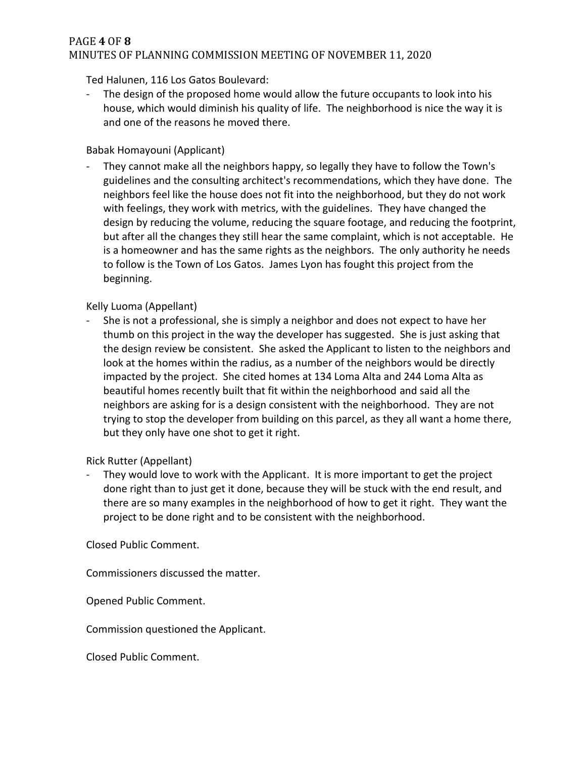### PAGE **4** OF **8** MINUTES OF PLANNING COMMISSION MEETING OF NOVEMBER 11, 2020

Ted Halunen, 116 Los Gatos Boulevard:

- The design of the proposed home would allow the future occupants to look into his house, which would diminish his quality of life. The neighborhood is nice the way it is and one of the reasons he moved there.

#### Babak Homayouni (Applicant)

They cannot make all the neighbors happy, so legally they have to follow the Town's guidelines and the consulting architect's recommendations, which they have done. The neighbors feel like the house does not fit into the neighborhood, but they do not work with feelings, they work with metrics, with the guidelines. They have changed the design by reducing the volume, reducing the square footage, and reducing the footprint, but after all the changes they still hear the same complaint, which is not acceptable. He is a homeowner and has the same rights as the neighbors. The only authority he needs to follow is the Town of Los Gatos. James Lyon has fought this project from the beginning.

#### Kelly Luoma (Appellant)

- She is not a professional, she is simply a neighbor and does not expect to have her thumb on this project in the way the developer has suggested. She is just asking that the design review be consistent. She asked the Applicant to listen to the neighbors and look at the homes within the radius, as a number of the neighbors would be directly impacted by the project. She cited homes at 134 Loma Alta and 244 Loma Alta as beautiful homes recently built that fit within the neighborhood and said all the neighbors are asking for is a design consistent with the neighborhood. They are not trying to stop the developer from building on this parcel, as they all want a home there, but they only have one shot to get it right.

Rick Rutter (Appellant)

They would love to work with the Applicant. It is more important to get the project done right than to just get it done, because they will be stuck with the end result, and there are so many examples in the neighborhood of how to get it right. They want the project to be done right and to be consistent with the neighborhood.

Closed Public Comment.

Commissioners discussed the matter.

Opened Public Comment.

Commission questioned the Applicant.

Closed Public Comment.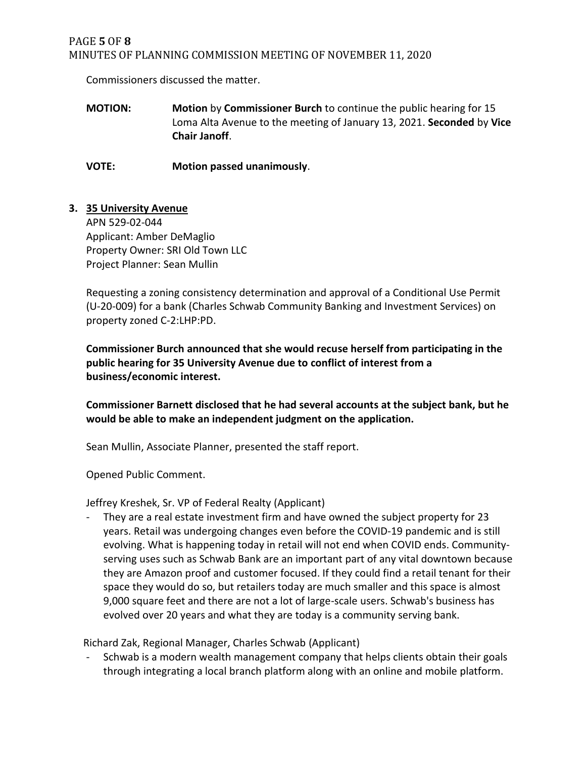### PAGE **5** OF **8** MINUTES OF PLANNING COMMISSION MEETING OF NOVEMBER 11, 2020

Commissioners discussed the matter.

**MOTION: Motion** by **Commissioner Burch** to continue the public hearing for 15 Loma Alta Avenue to the meeting of January 13, 2021. **Seconded** by **Vice Chair Janoff**.

**VOTE: Motion passed unanimously**.

#### **3. 35 University Avenue**

APN 529-02-044 Applicant: Amber DeMaglio Property Owner: SRI Old Town LLC Project Planner: Sean Mullin

Requesting a zoning consistency determination and approval of a Conditional Use Permit (U-20-009) for a bank (Charles Schwab Community Banking and Investment Services) on property zoned C-2:LHP:PD.

**Commissioner Burch announced that she would recuse herself from participating in the public hearing for 35 University Avenue due to conflict of interest from a business/economic interest.** 

**Commissioner Barnett disclosed that he had several accounts at the subject bank, but he would be able to make an independent judgment on the application.** 

Sean Mullin, Associate Planner, presented the staff report.

Opened Public Comment.

Jeffrey Kreshek, Sr. VP of Federal Realty (Applicant)

They are a real estate investment firm and have owned the subject property for 23 years. Retail was undergoing changes even before the COVID-19 pandemic and is still evolving. What is happening today in retail will not end when COVID ends. Communityserving uses such as Schwab Bank are an important part of any vital downtown because they are Amazon proof and customer focused. If they could find a retail tenant for their space they would do so, but retailers today are much smaller and this space is almost 9,000 square feet and there are not a lot of large-scale users. Schwab's business has evolved over 20 years and what they are today is a community serving bank.

Richard Zak, Regional Manager, Charles Schwab (Applicant)

Schwab is a modern wealth management company that helps clients obtain their goals through integrating a local branch platform along with an online and mobile platform.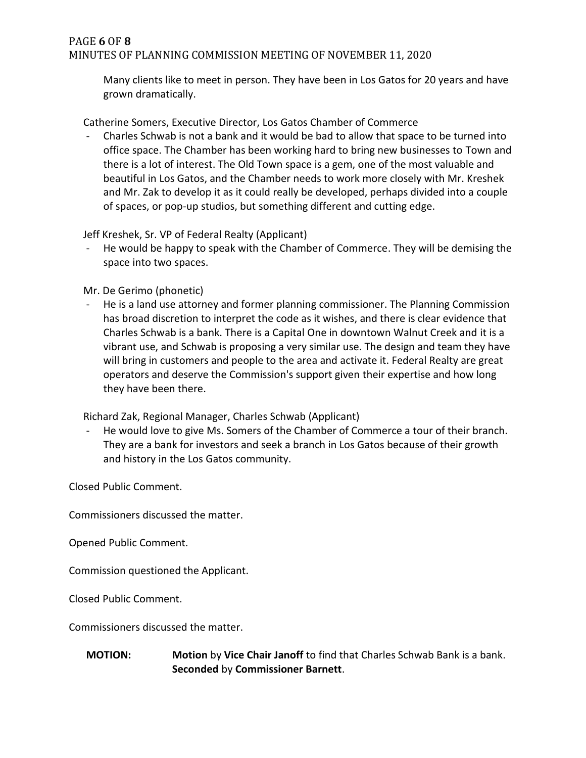#### PAGE **6** OF **8** MINUTES OF PLANNING COMMISSION MEETING OF NOVEMBER 11, 2020

Many clients like to meet in person. They have been in Los Gatos for 20 years and have grown dramatically.

Catherine Somers, Executive Director, Los Gatos Chamber of Commerce

Charles Schwab is not a bank and it would be bad to allow that space to be turned into office space. The Chamber has been working hard to bring new businesses to Town and there is a lot of interest. The Old Town space is a gem, one of the most valuable and beautiful in Los Gatos, and the Chamber needs to work more closely with Mr. Kreshek and Mr. Zak to develop it as it could really be developed, perhaps divided into a couple of spaces, or pop-up studios, but something different and cutting edge.

Jeff Kreshek, Sr. VP of Federal Realty (Applicant)

He would be happy to speak with the Chamber of Commerce. They will be demising the space into two spaces.

Mr. De Gerimo (phonetic)

He is a land use attorney and former planning commissioner. The Planning Commission has broad discretion to interpret the code as it wishes, and there is clear evidence that Charles Schwab is a bank. There is a Capital One in downtown Walnut Creek and it is a vibrant use, and Schwab is proposing a very similar use. The design and team they have will bring in customers and people to the area and activate it. Federal Realty are great operators and deserve the Commission's support given their expertise and how long they have been there.

Richard Zak, Regional Manager, Charles Schwab (Applicant)

- He would love to give Ms. Somers of the Chamber of Commerce a tour of their branch. They are a bank for investors and seek a branch in Los Gatos because of their growth and history in the Los Gatos community.

Closed Public Comment.

Commissioners discussed the matter.

Opened Public Comment.

Commission questioned the Applicant.

Closed Public Comment.

Commissioners discussed the matter.

#### **MOTION: Motion** by **Vice Chair Janoff** to find that Charles Schwab Bank is a bank. **Seconded** by **Commissioner Barnett**.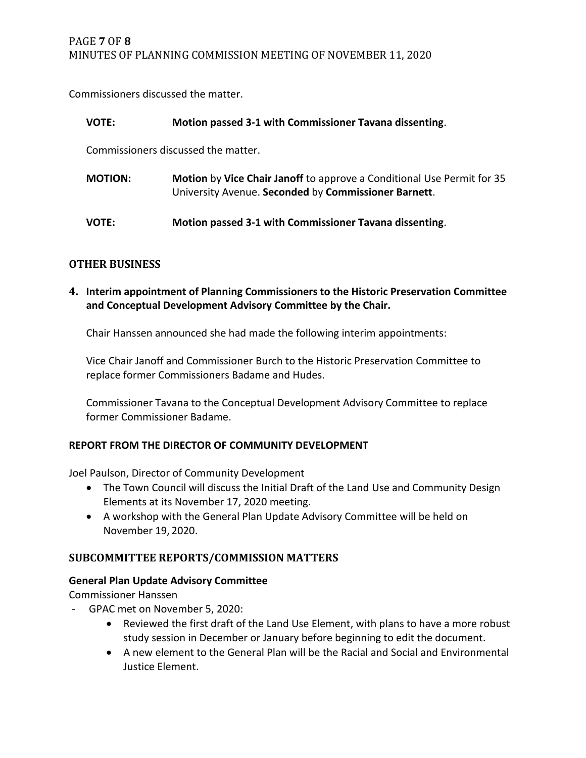Commissioners discussed the matter.

| <b>VOTE:</b>                        | Motion passed 3-1 with Commissioner Tavana dissenting.                                                                         |
|-------------------------------------|--------------------------------------------------------------------------------------------------------------------------------|
| Commissioners discussed the matter. |                                                                                                                                |
| <b>MOTION:</b>                      | Motion by Vice Chair Janoff to approve a Conditional Use Permit for 35<br>University Avenue. Seconded by Commissioner Barnett. |
| <b>VOTE:</b>                        | Motion passed 3-1 with Commissioner Tavana dissenting.                                                                         |

# **OTHER BUSINESS**

**4. Interim appointment of Planning Commissioners to the Historic Preservation Committee and Conceptual Development Advisory Committee by the Chair.** 

Chair Hanssen announced she had made the following interim appointments:

Vice Chair Janoff and Commissioner Burch to the Historic Preservation Committee to replace former Commissioners Badame and Hudes.

Commissioner Tavana to the Conceptual Development Advisory Committee to replace former Commissioner Badame.

# **REPORT FROM THE DIRECTOR OF COMMUNITY DEVELOPMENT**

Joel Paulson, Director of Community Development

- The Town Council will discuss the Initial Draft of the Land Use and Community Design Elements at its November 17, 2020 meeting.
- A workshop with the General Plan Update Advisory Committee will be held on November 19, 2020.

# **SUBCOMMITTEE REPORTS/COMMISSION MATTERS**

# **General Plan Update Advisory Committee**

Commissioner Hanssen

- GPAC met on November 5, 2020:
	- Reviewed the first draft of the Land Use Element, with plans to have a more robust study session in December or January before beginning to edit the document.
	- A new element to the General Plan will be the Racial and Social and Environmental Justice Element.